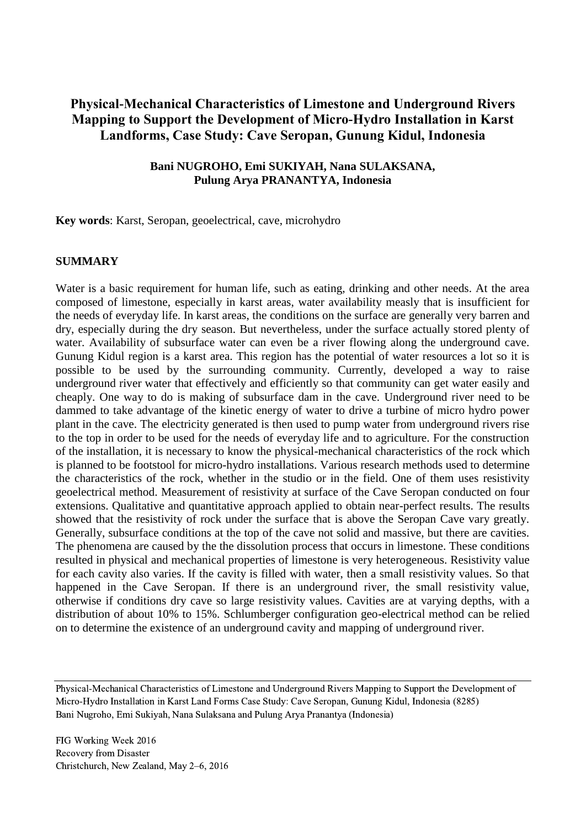# **Physical-Mechanical Characteristics of Limestone and Underground Rivers Mapping to Support the Development of Micro-Hydro Installation in Karst Landforms, Case Study: Cave Seropan, Gunung Kidul, Indonesia**

### **Bani NUGROHO, Emi SUKIYAH, Nana SULAKSANA, Pulung Arya PRANANTYA, Indonesia**

**Key words**: Karst, Seropan, geoelectrical, cave, microhydro

### **SUMMARY**

Water is a basic requirement for human life, such as eating, drinking and other needs. At the area composed of limestone, especially in karst areas, water availability measly that is insufficient for the needs of everyday life. In karst areas, the conditions on the surface are generally very barren and dry, especially during the dry season. But nevertheless, under the surface actually stored plenty of water. Availability of subsurface water can even be a river flowing along the underground cave. Gunung Kidul region is a karst area. This region has the potential of water resources a lot so it is possible to be used by the surrounding community. Currently, developed a way to raise underground river water that effectively and efficiently so that community can get water easily and cheaply. One way to do is making of subsurface dam in the cave. Underground river need to be dammed to take advantage of the kinetic energy of water to drive a turbine of micro hydro power plant in the cave. The electricity generated is then used to pump water from underground rivers rise to the top in order to be used for the needs of everyday life and to agriculture. For the construction of the installation, it is necessary to know the physical-mechanical characteristics of the rock which is planned to be footstool for micro-hydro installations. Various research methods used to determine the characteristics of the rock, whether in the studio or in the field. One of them uses resistivity geoelectrical method. Measurement of resistivity at surface of the Cave Seropan conducted on four extensions. Qualitative and quantitative approach applied to obtain near-perfect results. The results showed that the resistivity of rock under the surface that is above the Seropan Cave vary greatly. Generally, subsurface conditions at the top of the cave not solid and massive, but there are cavities. The phenomena are caused by the the dissolution process that occurs in limestone. These conditions resulted in physical and mechanical properties of limestone is very heterogeneous. Resistivity value for each cavity also varies. If the cavity is filled with water, then a small resistivity values. So that happened in the Cave Seropan. If there is an underground river, the small resistivity value, otherwise if conditions dry cave so large resistivity values. Cavities are at varying depths, with a distribution of about 10% to 15%. Schlumberger configuration geo-electrical method can be relied on to determine the existence of an underground cavity and mapping of underground river.

Physical-Mechanical Characteristics of Limestone and Underground Rivers Mapping to Support the Development of Micro-Hydro Installation in Karst Land Forms Case Study: Cave Seropan, Gunung Kidul, Indonesia (8285) Bani Nugroho, Emi Sukiyah, Nana Sulaksana and Pulung Arya Pranantya (Indonesia)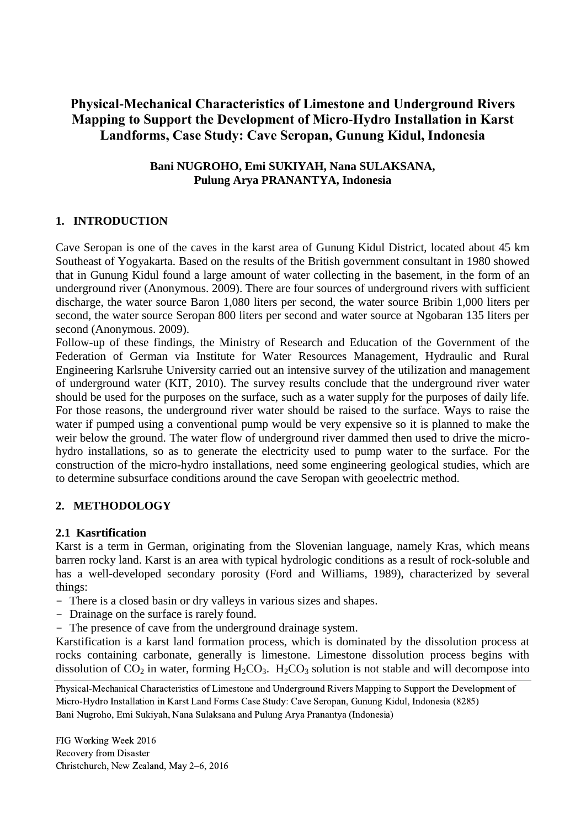# **Physical-Mechanical Characteristics of Limestone and Underground Rivers Mapping to Support the Development of Micro-Hydro Installation in Karst Landforms, Case Study: Cave Seropan, Gunung Kidul, Indonesia**

### **Bani NUGROHO, Emi SUKIYAH, Nana SULAKSANA, Pulung Arya PRANANTYA, Indonesia**

# **1. INTRODUCTION**

Cave Seropan is one of the caves in the karst area of Gunung Kidul District, located about 45 km Southeast of Yogyakarta. Based on the results of the British government consultant in 1980 showed that in Gunung Kidul found a large amount of water collecting in the basement, in the form of an underground river (Anonymous. 2009). There are four sources of underground rivers with sufficient discharge, the water source Baron 1,080 liters per second, the water source Bribin 1,000 liters per second, the water source Seropan 800 liters per second and water source at Ngobaran 135 liters per second (Anonymous. 2009).

Follow-up of these findings, the Ministry of Research and Education of the Government of the Federation of German via Institute for Water Resources Management, Hydraulic and Rural Engineering Karlsruhe University carried out an intensive survey of the utilization and management of underground water (KIT, 2010). The survey results conclude that the underground river water should be used for the purposes on the surface, such as a water supply for the purposes of daily life. For those reasons, the underground river water should be raised to the surface. Ways to raise the water if pumped using a conventional pump would be very expensive so it is planned to make the weir below the ground. The water flow of underground river dammed then used to drive the microhydro installations, so as to generate the electricity used to pump water to the surface. For the construction of the micro-hydro installations, need some engineering geological studies, which are to determine subsurface conditions around the cave Seropan with geoelectric method.

# **2. METHODOLOGY**

### **2.1 Kasrtification**

Karst is a term in German, originating from the Slovenian language, namely Kras, which means barren rocky land. Karst is an area with typical hydrologic conditions as a result of rock-soluble and has a well-developed secondary porosity (Ford and Williams, 1989), characterized by several things:

- There is a closed basin or dry valleys in various sizes and shapes.
- Drainage on the surface is rarely found.
- The presence of cave from the underground drainage system.

Karstification is a karst land formation process, which is dominated by the dissolution process at rocks containing carbonate, generally is limestone. Limestone dissolution process begins with dissolution of  $CO_2$  in water, forming  $H_2CO_3$ .  $H_2CO_3$  solution is not stable and will decompose into

Physical-Mechanical Characteristics of Limestone and Underground Rivers Mapping to Support the Development of Micro-Hydro Installation in Karst Land Forms Case Study: Cave Seropan, Gunung Kidul, Indonesia (8285) Bani Nugroho, Emi Sukiyah, Nana Sulaksana and Pulung Arya Pranantya (Indonesia)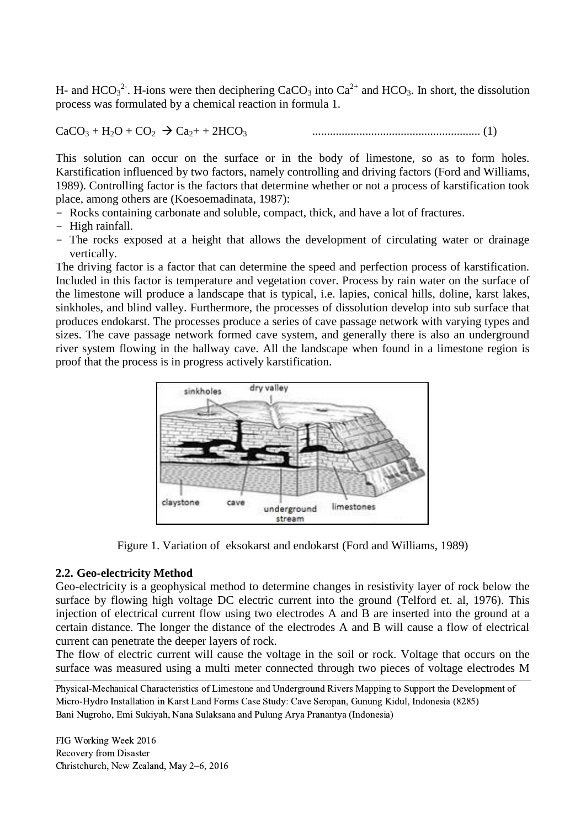H- and  $HCO<sub>3</sub><sup>2</sup>$ . H-ions were then deciphering CaCO<sub>3</sub> into Ca<sup>2+</sup> and HCO<sub>3</sub>. In short, the dissolution process was formulated by a chemical reaction in formula 1.

CaCO<sup>3</sup> + H2O + CO<sup>2</sup> Ca2+ + 2HCO<sup>3</sup> ......................................................... (1)

This solution can occur on the surface or in the body of limestone, so as to form holes. Karstification influenced by two factors, namely controlling and driving factors (Ford and Williams, 1989). Controlling factor is the factors that determine whether or not a process of karstification took place, among others are (Koesoemadinata, 1987):

- Rocks containing carbonate and soluble, compact, thick, and have a lot of fractures.
- High rainfall.
- The rocks exposed at a height that allows the development of circulating water or drainage vertically.

The driving factor is a factor that can determine the speed and perfection process of karstification. Included in this factor is temperature and vegetation cover. Process by rain water on the surface of the limestone will produce a landscape that is typical, i.e. lapies, conical hills, doline, karst lakes, sinkholes, and blind valley. Furthermore, the processes of dissolution develop into sub surface that produces endokarst. The processes produce a series of cave passage network with varying types and sizes. The cave passage network formed cave system, and generally there is also an underground river system flowing in the hallway cave. All the landscape when found in a limestone region is proof that the process is in progress actively karstification.



Figure 1. Variation of eksokarst and endokarst (Ford and Williams, 1989)

### **2.2. Geo-electricity Method**

Geo-electricity is a geophysical method to determine changes in resistivity layer of rock below the surface by flowing high voltage DC electric current into the ground (Telford et. al, 1976). This injection of electrical current flow using two electrodes A and B are inserted into the ground at a certain distance. The longer the distance of the electrodes A and B will cause a flow of electrical current can penetrate the deeper layers of rock.

The flow of electric current will cause the voltage in the soil or rock. Voltage that occurs on the surface was measured using a multi meter connected through two pieces of voltage electrodes M

Physical-Mechanical Characteristics of Limestone and Underground Rivers Mapping to Support the Development of Micro-Hydro Installation in Karst Land Forms Case Study: Cave Seropan, Gunung Kidul, Indonesia (8285) Bani Nugroho, Emi Sukiyah, Nana Sulaksana and Pulung Arya Pranantya (Indonesia)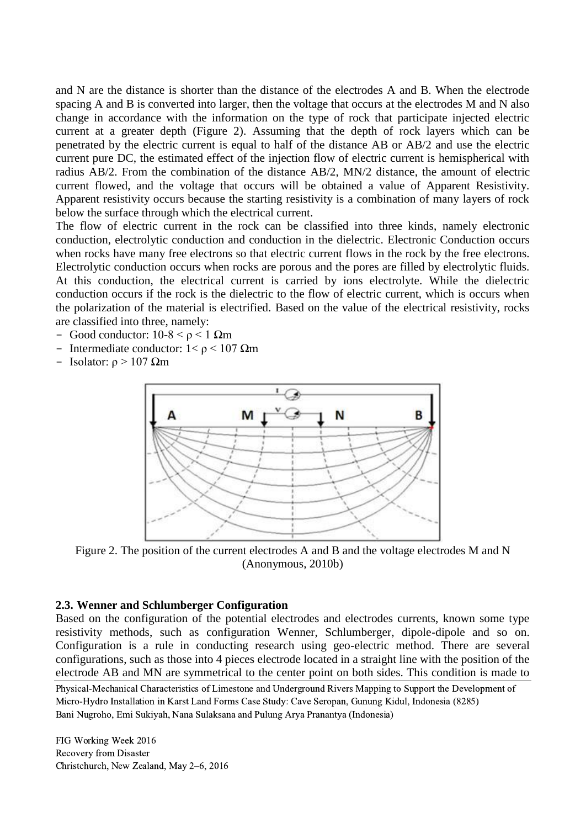and N are the distance is shorter than the distance of the electrodes A and B. When the electrode spacing A and B is converted into larger, then the voltage that occurs at the electrodes M and N also change in accordance with the information on the type of rock that participate injected electric current at a greater depth (Figure 2). Assuming that the depth of rock layers which can be penetrated by the electric current is equal to half of the distance AB or AB/2 and use the electric current pure DC, the estimated effect of the injection flow of electric current is hemispherical with radius AB/2. From the combination of the distance AB/2, MN/2 distance, the amount of electric current flowed, and the voltage that occurs will be obtained a value of Apparent Resistivity. Apparent resistivity occurs because the starting resistivity is a combination of many layers of rock below the surface through which the electrical current.

The flow of electric current in the rock can be classified into three kinds, namely electronic conduction, electrolytic conduction and conduction in the dielectric. Electronic Conduction occurs when rocks have many free electrons so that electric current flows in the rock by the free electrons. Electrolytic conduction occurs when rocks are porous and the pores are filled by electrolytic fluids. At this conduction, the electrical current is carried by ions electrolyte. While the dielectric conduction occurs if the rock is the dielectric to the flow of electric current, which is occurs when the polarization of the material is electrified. Based on the value of the electrical resistivity, rocks are classified into three, namely:

- Good conductor:  $10-8 < \rho < 1$  Ωm
- Intermediate conductor:  $1 < \rho < 107$  Ωm
- Isolator:  $ρ > 107$  Ωm



Figure 2. The position of the current electrodes A and B and the voltage electrodes M and N (Anonymous, 2010b)

#### **2.3. Wenner and Schlumberger Configuration**

Based on the configuration of the potential electrodes and electrodes currents, known some type resistivity methods, such as configuration Wenner, Schlumberger, dipole-dipole and so on. Configuration is a rule in conducting research using geo-electric method. There are several configurations, such as those into 4 pieces electrode located in a straight line with the position of the electrode AB and MN are symmetrical to the center point on both sides. This condition is made to

Physical-Mechanical Characteristics of Limestone and Underground Rivers Mapping to Support the Development of Micro-Hydro Installation in Karst Land Forms Case Study: Cave Seropan, Gunung Kidul, Indonesia (8285) Bani Nugroho, Emi Sukiyah, Nana Sulaksana and Pulung Arya Pranantya (Indonesia)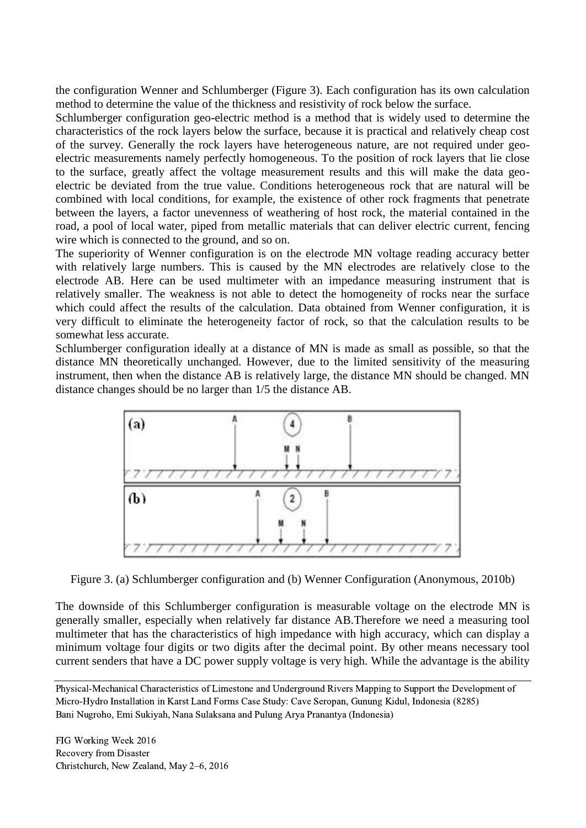the configuration Wenner and Schlumberger (Figure 3). Each configuration has its own calculation method to determine the value of the thickness and resistivity of rock below the surface.

Schlumberger configuration geo-electric method is a method that is widely used to determine the characteristics of the rock layers below the surface, because it is practical and relatively cheap cost of the survey. Generally the rock layers have heterogeneous nature, are not required under geoelectric measurements namely perfectly homogeneous. To the position of rock layers that lie close to the surface, greatly affect the voltage measurement results and this will make the data geoelectric be deviated from the true value. Conditions heterogeneous rock that are natural will be combined with local conditions, for example, the existence of other rock fragments that penetrate between the layers, a factor unevenness of weathering of host rock, the material contained in the road, a pool of local water, piped from metallic materials that can deliver electric current, fencing wire which is connected to the ground, and so on.

The superiority of Wenner configuration is on the electrode MN voltage reading accuracy better with relatively large numbers. This is caused by the MN electrodes are relatively close to the electrode AB. Here can be used multimeter with an impedance measuring instrument that is relatively smaller. The weakness is not able to detect the homogeneity of rocks near the surface which could affect the results of the calculation. Data obtained from Wenner configuration, it is very difficult to eliminate the heterogeneity factor of rock, so that the calculation results to be somewhat less accurate.

Schlumberger configuration ideally at a distance of MN is made as small as possible, so that the distance MN theoretically unchanged. However, due to the limited sensitivity of the measuring instrument, then when the distance AB is relatively large, the distance MN should be changed. MN distance changes should be no larger than 1/5 the distance AB.



Figure 3. (a) Schlumberger configuration and (b) Wenner Configuration (Anonymous, 2010b)

The downside of this Schlumberger configuration is measurable voltage on the electrode MN is generally smaller, especially when relatively far distance AB.Therefore we need a measuring tool multimeter that has the characteristics of high impedance with high accuracy, which can display a minimum voltage four digits or two digits after the decimal point. By other means necessary tool current senders that have a DC power supply voltage is very high. While the advantage is the ability

Physical-Mechanical Characteristics of Limestone and Underground Rivers Mapping to Support the Development of Micro-Hydro Installation in Karst Land Forms Case Study: Cave Seropan, Gunung Kidul, Indonesia (8285) Bani Nugroho, Emi Sukiyah, Nana Sulaksana and Pulung Arya Pranantya (Indonesia)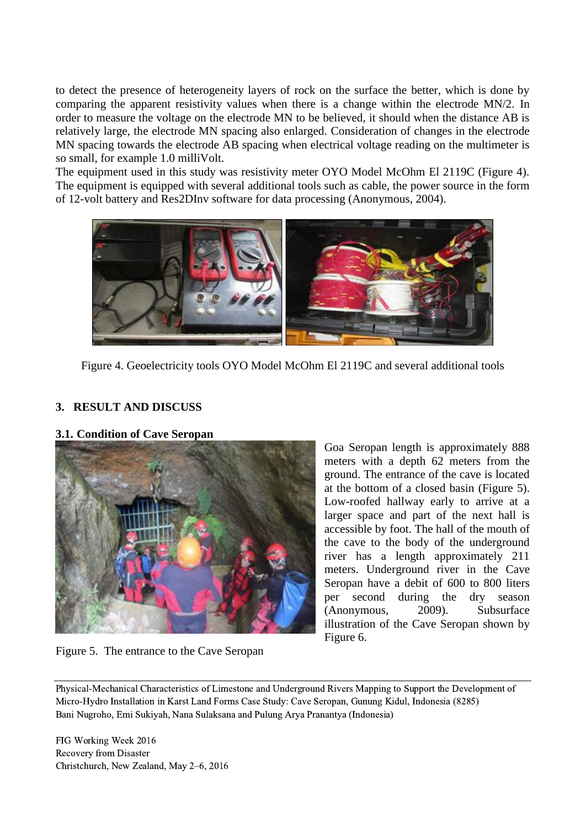to detect the presence of heterogeneity layers of rock on the surface the better, which is done by comparing the apparent resistivity values when there is a change within the electrode MN/2. In order to measure the voltage on the electrode MN to be believed, it should when the distance AB is relatively large, the electrode MN spacing also enlarged. Consideration of changes in the electrode MN spacing towards the electrode AB spacing when electrical voltage reading on the multimeter is so small, for example 1.0 milliVolt.

The equipment used in this study was resistivity meter OYO Model McOhm El 2119C (Figure 4). The equipment is equipped with several additional tools such as cable, the power source in the form of 12-volt battery and Res2DInv software for data processing (Anonymous, 2004).



Figure 4. Geoelectricity tools OYO Model McOhm El 2119C and several additional tools

## **3. RESULT AND DISCUSS**

**3.1. Condition of Cave Seropan**



Goa Seropan length is approximately 888 meters with a depth 62 meters from the ground. The entrance of the cave is located at the bottom of a closed basin (Figure 5). Low-roofed hallway early to arrive at a larger space and part of the next hall is accessible by foot. The hall of the mouth of the cave to the body of the underground river has a length approximately 211 meters. Underground river in the Cave Seropan have a debit of 600 to 800 liters per second during the dry season (Anonymous, 2009). Subsurface illustration of the Cave Seropan shown by Figure 6.

Figure 5. The entrance to the Cave Seropan

Physical-Mechanical Characteristics of Limestone and Underground Rivers Mapping to Support the Development of Micro-Hydro Installation in Karst Land Forms Case Study: Cave Seropan, Gunung Kidul, Indonesia (8285) Bani Nugroho, Emi Sukiyah, Nana Sulaksana and Pulung Arya Pranantya (Indonesia)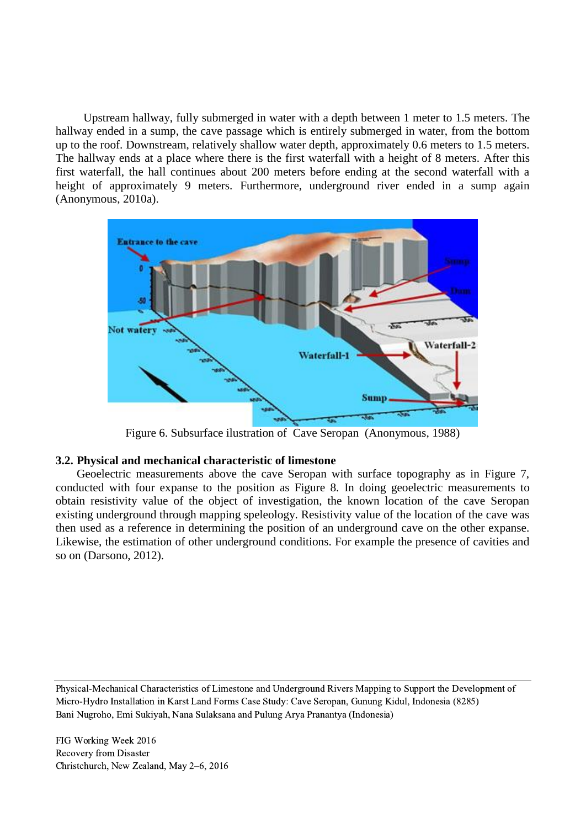Upstream hallway, fully submerged in water with a depth between 1 meter to 1.5 meters. The hallway ended in a sump, the cave passage which is entirely submerged in water, from the bottom up to the roof. Downstream, relatively shallow water depth, approximately 0.6 meters to 1.5 meters. The hallway ends at a place where there is the first waterfall with a height of 8 meters. After this first waterfall, the hall continues about 200 meters before ending at the second waterfall with a height of approximately 9 meters. Furthermore, underground river ended in a sump again (Anonymous, 2010a).



Figure 6. Subsurface ilustration of Cave Seropan (Anonymous, 1988)

### **3.2. Physical and mechanical characteristic of limestone**

Geoelectric measurements above the cave Seropan with surface topography as in Figure 7, conducted with four expanse to the position as Figure 8. In doing geoelectric measurements to obtain resistivity value of the object of investigation, the known location of the cave Seropan existing underground through mapping speleology. Resistivity value of the location of the cave was then used as a reference in determining the position of an underground cave on the other expanse. Likewise, the estimation of other underground conditions. For example the presence of cavities and so on (Darsono, 2012).

Physical-Mechanical Characteristics of Limestone and Underground Rivers Mapping to Support the Development of Micro-Hydro Installation in Karst Land Forms Case Study: Cave Seropan, Gunung Kidul, Indonesia (8285) Bani Nugroho, Emi Sukiyah, Nana Sulaksana and Pulung Arya Pranantya (Indonesia)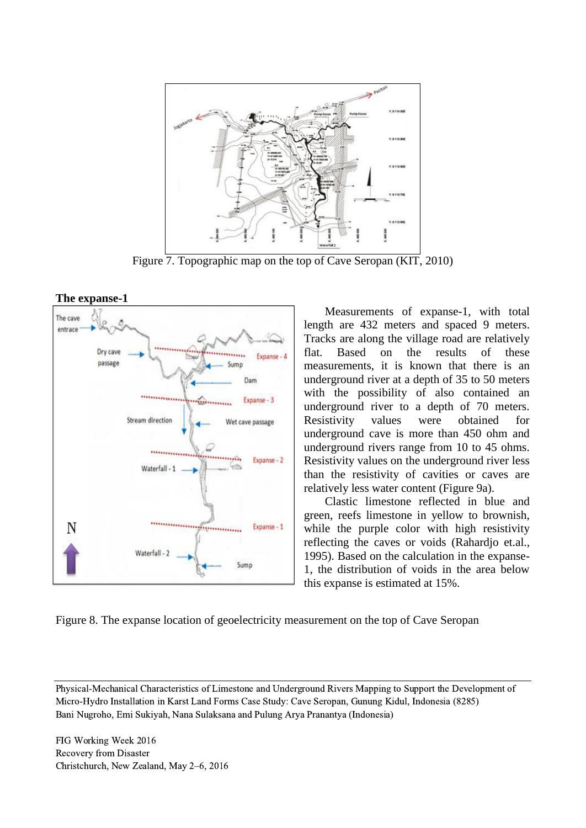

Figure 7. Topographic map on the top of Cave Seropan (KIT, 2010)



Measurements of expanse-1, with total length are 432 meters and spaced 9 meters. Tracks are along the village road are relatively flat. Based on the results of these measurements, it is known that there is an underground river at a depth of 35 to 50 meters with the possibility of also contained an underground river to a depth of 70 meters. Resistivity values were obtained for underground cave is more than 450 ohm and underground rivers range from 10 to 45 ohms. Resistivity values on the underground river less than the resistivity of cavities or caves are relatively less water content (Figure 9a).

Clastic limestone reflected in blue and green, reefs limestone in yellow to brownish, while the purple color with high resistivity reflecting the caves or voids (Rahardjo et.al., 1995). Based on the calculation in the expanse-1, the distribution of voids in the area below this expanse is estimated at 15%.

Figure 8. The expanse location of geoelectricity measurement on the top of Cave Seropan

Physical-Mechanical Characteristics of Limestone and Underground Rivers Mapping to Support the Development of Micro-Hydro Installation in Karst Land Forms Case Study: Cave Seropan, Gunung Kidul, Indonesia (8285) Bani Nugroho, Emi Sukiyah, Nana Sulaksana and Pulung Arya Pranantya (Indonesia)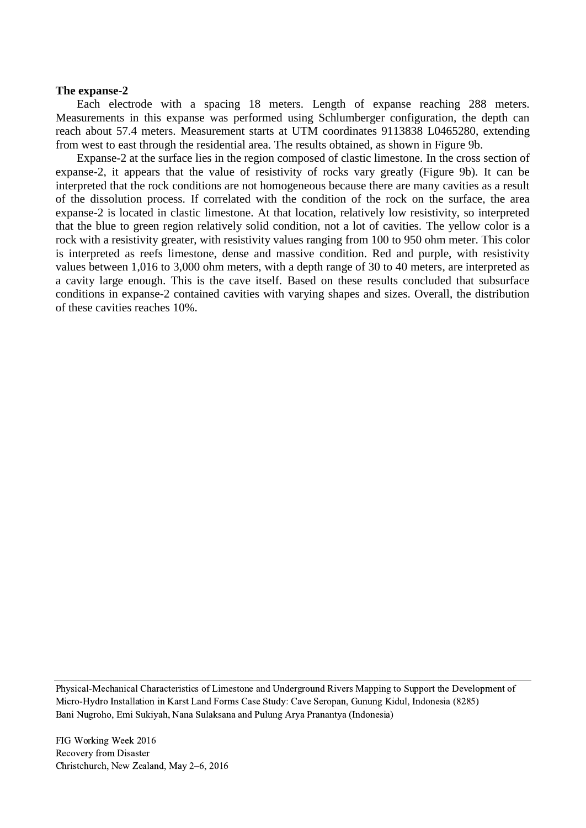#### **The expanse-2**

Each electrode with a spacing 18 meters. Length of expanse reaching 288 meters. Measurements in this expanse was performed using Schlumberger configuration, the depth can reach about 57.4 meters. Measurement starts at UTM coordinates 9113838 L0465280, extending from west to east through the residential area. The results obtained, as shown in Figure 9b.

Expanse-2 at the surface lies in the region composed of clastic limestone. In the cross section of expanse-2, it appears that the value of resistivity of rocks vary greatly (Figure 9b). It can be interpreted that the rock conditions are not homogeneous because there are many cavities as a result of the dissolution process. If correlated with the condition of the rock on the surface, the area expanse-2 is located in clastic limestone. At that location, relatively low resistivity, so interpreted that the blue to green region relatively solid condition, not a lot of cavities. The yellow color is a rock with a resistivity greater, with resistivity values ranging from 100 to 950 ohm meter. This color is interpreted as reefs limestone, dense and massive condition. Red and purple, with resistivity values between 1,016 to 3,000 ohm meters, with a depth range of 30 to 40 meters, are interpreted as a cavity large enough. This is the cave itself. Based on these results concluded that subsurface conditions in expanse-2 contained cavities with varying shapes and sizes. Overall, the distribution of these cavities reaches 10%.

Physical-Mechanical Characteristics of Limestone and Underground Rivers Mapping to Support the Development of Micro-Hydro Installation in Karst Land Forms Case Study: Cave Seropan, Gunung Kidul, Indonesia (8285) Bani Nugroho, Emi Sukiyah, Nana Sulaksana and Pulung Arya Pranantya (Indonesia)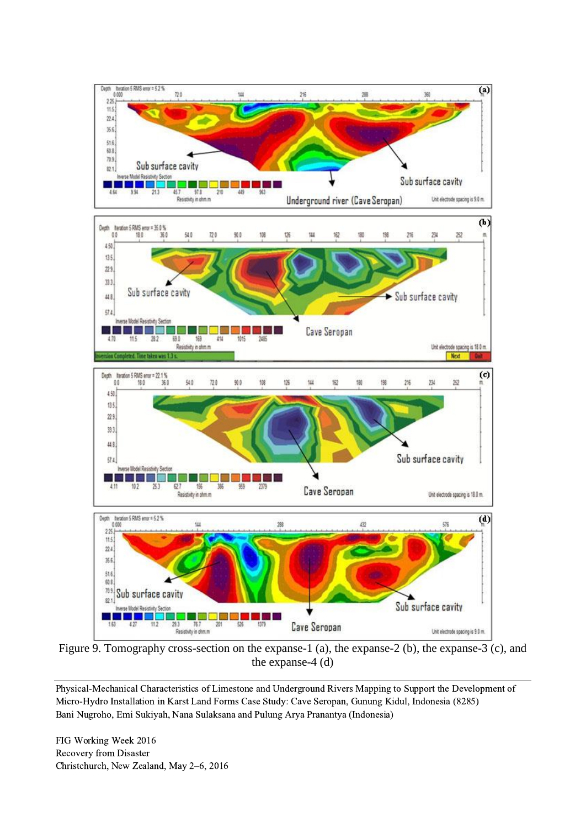

Figure 9. Tomography cross-section on the expanse-1 (a), the expanse-2 (b), the expanse-3 (c), and the expanse-4 (d)

Physical-Mechanical Characteristics of Limestone and Underground Rivers Mapping to Support the Development of Micro-Hydro Installation in Karst Land Forms Case Study: Cave Seropan, Gunung Kidul, Indonesia (8285) Bani Nugroho, Emi Sukiyah, Nana Sulaksana and Pulung Arya Pranantya (Indonesia)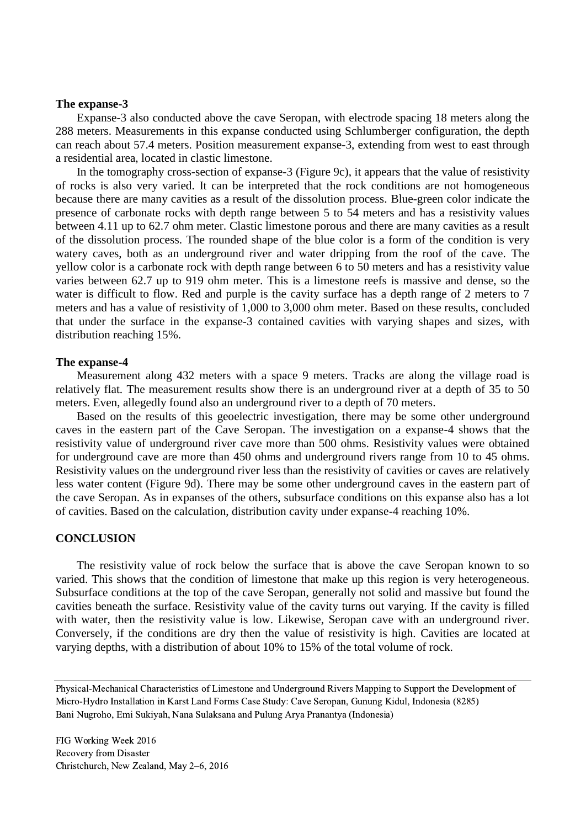#### **The expanse-3**

Expanse-3 also conducted above the cave Seropan, with electrode spacing 18 meters along the 288 meters. Measurements in this expanse conducted using Schlumberger configuration, the depth can reach about 57.4 meters. Position measurement expanse-3, extending from west to east through a residential area, located in clastic limestone.

In the tomography cross-section of expanse-3 (Figure 9c), it appears that the value of resistivity of rocks is also very varied. It can be interpreted that the rock conditions are not homogeneous because there are many cavities as a result of the dissolution process. Blue-green color indicate the presence of carbonate rocks with depth range between 5 to 54 meters and has a resistivity values between 4.11 up to 62.7 ohm meter. Clastic limestone porous and there are many cavities as a result of the dissolution process. The rounded shape of the blue color is a form of the condition is very watery caves, both as an underground river and water dripping from the roof of the cave. The yellow color is a carbonate rock with depth range between 6 to 50 meters and has a resistivity value varies between 62.7 up to 919 ohm meter. This is a limestone reefs is massive and dense, so the water is difficult to flow. Red and purple is the cavity surface has a depth range of 2 meters to 7 meters and has a value of resistivity of 1,000 to 3,000 ohm meter. Based on these results, concluded that under the surface in the expanse-3 contained cavities with varying shapes and sizes, with distribution reaching 15%.

#### **The expanse-4**

Measurement along 432 meters with a space 9 meters. Tracks are along the village road is relatively flat. The measurement results show there is an underground river at a depth of 35 to 50 meters. Even, allegedly found also an underground river to a depth of 70 meters.

Based on the results of this geoelectric investigation, there may be some other underground caves in the eastern part of the Cave Seropan. The investigation on a expanse-4 shows that the resistivity value of underground river cave more than 500 ohms. Resistivity values were obtained for underground cave are more than 450 ohms and underground rivers range from 10 to 45 ohms. Resistivity values on the underground river less than the resistivity of cavities or caves are relatively less water content (Figure 9d). There may be some other underground caves in the eastern part of the cave Seropan. As in expanses of the others, subsurface conditions on this expanse also has a lot of cavities. Based on the calculation, distribution cavity under expanse-4 reaching 10%.

#### **CONCLUSION**

The resistivity value of rock below the surface that is above the cave Seropan known to so varied. This shows that the condition of limestone that make up this region is very heterogeneous. Subsurface conditions at the top of the cave Seropan, generally not solid and massive but found the cavities beneath the surface. Resistivity value of the cavity turns out varying. If the cavity is filled with water, then the resistivity value is low. Likewise, Seropan cave with an underground river. Conversely, if the conditions are dry then the value of resistivity is high. Cavities are located at varying depths, with a distribution of about 10% to 15% of the total volume of rock.

Physical-Mechanical Characteristics of Limestone and Underground Rivers Mapping to Support the Development of Micro-Hydro Installation in Karst Land Forms Case Study: Cave Seropan, Gunung Kidul, Indonesia (8285) Bani Nugroho, Emi Sukiyah, Nana Sulaksana and Pulung Arya Pranantya (Indonesia)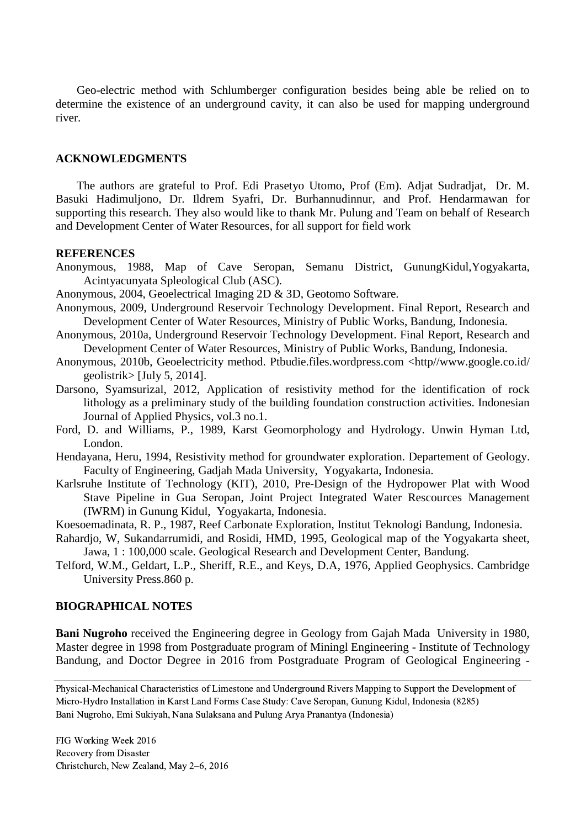Geo-electric method with Schlumberger configuration besides being able be relied on to determine the existence of an underground cavity, it can also be used for mapping underground river.

### **ACKNOWLEDGMENTS**

The authors are grateful to Prof. Edi Prasetyo Utomo, Prof (Em). Adjat Sudradjat, Dr. M. Basuki Hadimuljono, Dr. Ildrem Syafri, Dr. Burhannudinnur, and Prof. Hendarmawan for supporting this research. They also would like to thank Mr. Pulung and Team on behalf of Research and Development Center of Water Resources, for all support for field work

#### **REFERENCES**

Anonymous, 1988, Map of Cave Seropan, Semanu District, GunungKidul,Yogyakarta, Acintyacunyata Spleological Club (ASC).

Anonymous, 2004, Geoelectrical Imaging 2D & 3D, Geotomo Software.

- Anonymous, 2009, Underground Reservoir Technology Development. Final Report, Research and Development Center of Water Resources, Ministry of Public Works, Bandung, Indonesia.
- Anonymous, 2010a, Underground Reservoir Technology Development. Final Report, Research and Development Center of Water Resources, Ministry of Public Works, Bandung, Indonesia.
- Anonymous, 2010b, Geoelectricity method. Ptbudie.files.wordpress.com <http//www.google.co.id/ geolistrik $>$  [July 5, 2014].
- Darsono, Syamsurizal, 2012, Application of resistivity method for the identification of rock lithology as a preliminary study of the building foundation construction activities. Indonesian Journal of Applied Physics, vol.3 no.1.
- Ford, D. and Williams, P., 1989, Karst Geomorphology and Hydrology. Unwin Hyman Ltd, London.
- Hendayana, Heru, 1994, Resistivity method for groundwater exploration. Departement of Geology. Faculty of Engineering, Gadjah Mada University, Yogyakarta, Indonesia.
- Karlsruhe Institute of Technology (KIT), 2010, Pre-Design of the Hydropower Plat with Wood Stave Pipeline in Gua Seropan, Joint Project Integrated Water Rescources Management (IWRM) in Gunung Kidul, Yogyakarta, Indonesia.
- Koesoemadinata, R. P., 1987, Reef Carbonate Exploration, Institut Teknologi Bandung, Indonesia.
- Rahardjo, W, Sukandarrumidi, and Rosidi, HMD, 1995, Geological map of the Yogyakarta sheet, Jawa, 1 : 100,000 scale. Geological Research and Development Center, Bandung.
- Telford, W.M., Geldart, L.P., Sheriff, R.E., and Keys, D.A, 1976, Applied Geophysics. Cambridge University Press.860 p.

#### **BIOGRAPHICAL NOTES**

**Bani Nugroho** received the Engineering degree in Geology from Gajah Mada University in 1980, Master degree in 1998 from Postgraduate program of Miningl Engineering - Institute of Technology Bandung, and Doctor Degree in 2016 from Postgraduate Program of Geological Engineering -

Physical-Mechanical Characteristics of Limestone and Underground Rivers Mapping to Support the Development of Micro-Hydro Installation in Karst Land Forms Case Study: Cave Seropan, Gunung Kidul, Indonesia (8285) Bani Nugroho, Emi Sukiyah, Nana Sulaksana and Pulung Arya Pranantya (Indonesia)